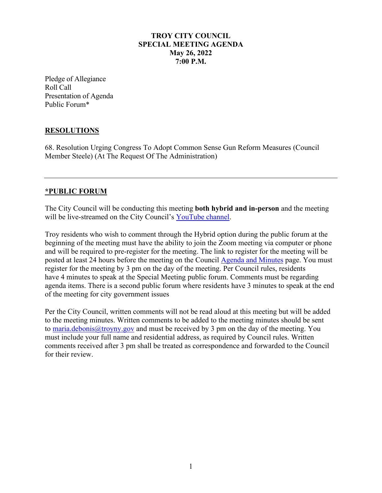### **TROY CITY COUNCIL SPECIAL MEETING AGENDA May 26, 2022 7:00 P.M.**

Pledge of Allegiance Roll Call Presentation of Agenda Public Forum\*

### **RESOLUTIONS**

68. Resolution Urging Congress To Adopt Common Sense Gun Reform Measures (Council Member Steele) (At The Request Of The Administration)

### **\*PUBLIC FORUM**

The City Council will be conducting this meeting **both hybrid and in-person** and the meeting will be live-streamed on the City Council's [YouTube channel.](https://www.youtube.com/troycitycouncil)

Troy residents who wish to comment through the Hybrid option during the public forum at the beginning of the meeting must have the ability to join the Zoom meeting via computer or phone and will be required to pre-register for the meeting. The link to register for the meeting will be posted at least 24 hours before the meeting on the Council [Agenda and Minutes](https://linkprotect.cudasvc.com/url?a=http%3a%2f%2fwww.troyny.gov%2fgovernment%2fcity-council%2fagenda-minutes%2f&c=E,1,FQsbwKRm6zka-Smi-5zhsLLC8IpEWxBlbvu35DRkWWPSK-v-IEDRYHq17ItuSBiSfsAXa4kzj0mjSZq6FimfrsLYmvBq8dTsGVguWdin9lxFMNorSg80sQ,,&typo=1) page. You must register for the meeting by 3 pm on the day of the meeting. Per Council rules, residents have 4 minutes to speak at the Special Meeting public forum. Comments must be regarding agenda items. There is a second public forum where residents have 3 minutes to speak at the end of the meeting for city government issues

Per the City Council, written comments will not be read aloud at this meeting but will be added to the meeting minutes. Written comments to be added to the meeting minutes should be sent to [maria.debonis@troyny.gov](mailto:maria.debonis@troyny.gov) and must be received by 3 pm on the day of the meeting. You must include your full name and residential address, as required by Council rules. Written comments received after 3 pm shall be treated as correspondence and forwarded to the Council for their review.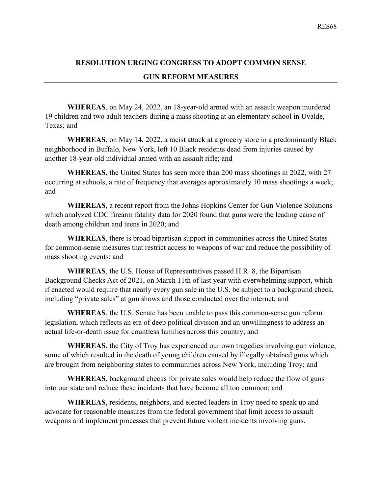### **RESOLUTION URGING CONGRESS TO ADOPT COMMON SENSE GUN REFORM MEASURES**

**WHEREAS**, on May 24, 2022, an 18-year-old armed with an assault weapon murdered 19 children and two adult teachers during a mass shooting at an elementary school in Uvalde, Texas; and

**WHEREAS**, on May 14, 2022, a racist attack at a grocery store in a predominantly Black neighborhood in Buffalo, New York, left 10 Black residents dead from injuries caused by another 18-year-old individual armed with an assault rifle; and

**WHEREAS**, the United States has seen more than 200 mass shootings in 2022, with 27 occurring at schools, a rate of frequency that averages approximately 10 mass shootings a week; and

**WHEREAS**, a recent report from the Johns Hopkins Center for Gun Violence Solutions which analyzed CDC firearm fatality data for 2020 found that guns were the leading cause of death among children and teens in 2020; and

**WHEREAS**, there is broad bipartisan support in communities across the United States for common-sense measures that restrict access to weapons of war and reduce the possibility of mass shooting events; and

**WHEREAS**, the U.S. House of Representatives passed H.R. 8, the Bipartisan Background Checks Act of 2021, on March 11th of last year with overwhelming support, which if enacted would require that nearly every gun sale in the U.S. be subject to a background check, including "private sales" at gun shows and those conducted over the internet; and

**WHEREAS**, the U.S. Senate has been unable to pass this common-sense gun reform legislation, which reflects an era of deep political division and an unwillingness to address an actual life-or-death issue for countless families across this country; and

**WHEREAS**, the City of Troy has experienced our own tragedies involving gun violence, some of which resulted in the death of young children caused by illegally obtained guns which are brought from neighboring states to communities across New York, including Troy; and

**WHEREAS**, background checks for private sales would help reduce the flow of guns into our state and reduce these incidents that have become all too common; and

**WHEREAS**, residents, neighbors, and elected leaders in Troy need to speak up and advocate for reasonable measures from the federal government that limit access to assault weapons and implement processes that prevent future violent incidents involving guns.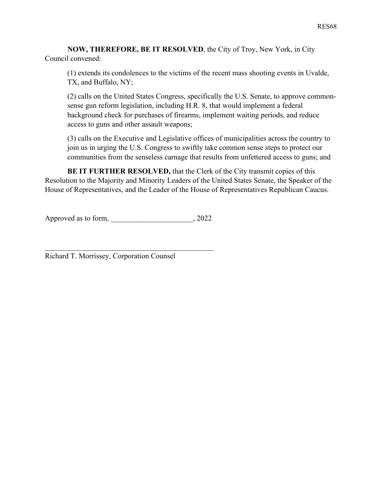**NOW, THEREFORE, BE IT RESOLVED**, the City of Troy, New York, in City Council convened:

(1) extends its condolences to the victims of the recent mass shooting events in Uvalde, TX, and Buffalo, NY;

(2) calls on the United States Congress, specifically the U.S. Senate, to approve commonsense gun reform legislation, including H.R. 8, that would implement a federal background check for purchases of firearms, implement waiting periods, and reduce access to guns and other assault weapons;

(3) calls on the Executive and Legislative offices of municipalities across the country to join us in urging the U.S. Congress to swiftly take common sense steps to protect our communities from the senseless carnage that results from unfettered access to guns; and

**BE IT FURTHER RESOLVED,** that the Clerk of the City transmit copies of this Resolution to the Majority and Minority Leaders of the United States Senate, the Speaker of the House of Representatives, and the Leader of the House of Representatives Republican Caucus.

Approved as to form, 2022

Richard T. Morrissey, Corporation Counsel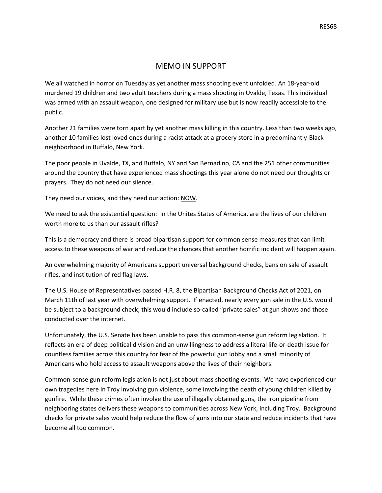#### MEMO IN SUPPORT

We all watched in horror on Tuesday as yet another mass shooting event unfolded. An 18-year-old murdered 19 children and two adult teachers during a mass shooting in Uvalde, Texas. This individual was armed with an assault weapon, one designed for military use but is now readily accessible to the public.

Another 21 families were torn apart by yet another mass killing in this country. Less than two weeks ago, another 10 families lost loved ones during a racist attack at a grocery store in a predominantly-Black neighborhood in Buffalo, New York.

The poor people in Uvalde, TX, and Buffalo, NY and San Bernadino, CA and the 251 other communities around the country that have experienced mass shootings this year alone do not need our thoughts or prayers. They do not need our silence.

They need our voices, and they need our action: NOW.

We need to ask the existential question: In the Unites States of America, are the lives of our children worth more to us than our assault rifles?

This is a democracy and there is broad bipartisan support for common sense measures that can limit access to these weapons of war and reduce the chances that another horrific incident will happen again.

An overwhelming majority of Americans support universal background checks, bans on sale of assault rifles, and institution of red flag laws.

The U.S. House of Representatives passed H.R. 8, the Bipartisan Background Checks Act of 2021, on March 11th of last year with overwhelming support. If enacted, nearly every gun sale in the U.S. would be subject to a background check; this would include so-called "private sales" at gun shows and those conducted over the internet.

Unfortunately, the U.S. Senate has been unable to pass this common-sense gun reform legislation. It reflects an era of deep political division and an unwillingness to address a literal life-or-death issue for countless families across this country for fear of the powerful gun lobby and a small minority of Americans who hold access to assault weapons above the lives of their neighbors.

Common-sense gun reform legislation is not just about mass shooting events. We have experienced our own tragedies here in Troy involving gun violence, some involving the death of young children killed by gunfire. While these crimes often involve the use of illegally obtained guns, the iron pipeline from neighboring states delivers these weapons to communities across New York, including Troy. Background checks for private sales would help reduce the flow of guns into our state and reduce incidents that have become all too common.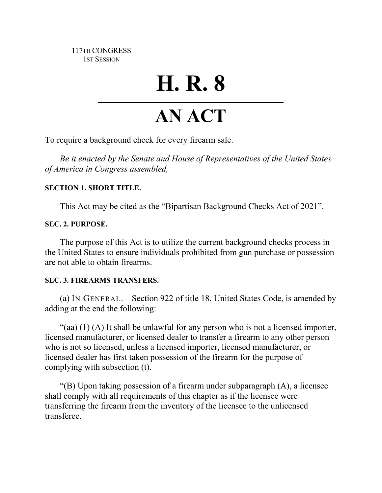117TH CONGRESS 1ST SESSION

# **H. R. 8**

## **AN ACT**

To require a background check for every firearm sale.

*Be it enacted by the Senate and House of Representatives of the United States of America in Congress assembled,*

#### **SECTION 1. SHORT TITLE.**

This Act may be cited as the "Bipartisan Background Checks Act of 2021".

### **SEC. 2. PURPOSE.**

The purpose of this Act is to utilize the current background checks process in the United States to ensure individuals prohibited from gun purchase or possession are not able to obtain firearms.

#### **SEC. 3. FIREARMS TRANSFERS.**

(a) IN GENERAL.—Section 922 of title 18, United States Code, is amended by adding at the end the following:

"(aa)  $(1)$  (A) It shall be unlawful for any person who is not a licensed importer, licensed manufacturer, or licensed dealer to transfer a firearm to any other person who is not so licensed, unless a licensed importer, licensed manufacturer, or licensed dealer has first taken possession of the firearm for the purpose of complying with subsection (t).

"(B) Upon taking possession of a firearm under subparagraph (A), a licensee shall comply with all requirements of this chapter as if the licensee were transferring the firearm from the inventory of the licensee to the unlicensed transferee.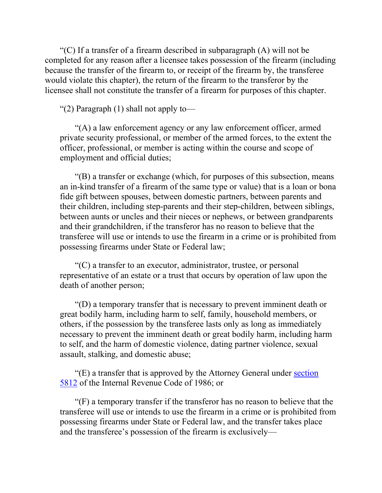"(C) If a transfer of a firearm described in subparagraph  $(A)$  will not be completed for any reason after a licensee takes possession of the firearm (including because the transfer of the firearm to, or receipt of the firearm by, the transferee would violate this chapter), the return of the firearm to the transferor by the licensee shall not constitute the transfer of a firearm for purposes of this chapter.

"(2) Paragraph  $(1)$  shall not apply to-

"(A) a law enforcement agency or any law enforcement officer, armed private security professional, or member of the armed forces, to the extent the officer, professional, or member is acting within the course and scope of employment and official duties;

"(B) a transfer or exchange (which, for purposes of this subsection, means an in-kind transfer of a firearm of the same type or value) that is a loan or bona fide gift between spouses, between domestic partners, between parents and their children, including step-parents and their step-children, between siblings, between aunts or uncles and their nieces or nephews, or between grandparents and their grandchildren, if the transferor has no reason to believe that the transferee will use or intends to use the firearm in a crime or is prohibited from possessing firearms under State or Federal law;

"(C) a transfer to an executor, administrator, trustee, or personal representative of an estate or a trust that occurs by operation of law upon the death of another person;

"(D) a temporary transfer that is necessary to prevent imminent death or great bodily harm, including harm to self, family, household members, or others, if the possession by the transferee lasts only as long as immediately necessary to prevent the imminent death or great bodily harm, including harm to self, and the harm of domestic violence, dating partner violence, sexual assault, stalking, and domestic abuse;

"(E) a transfer that is approved by the Attorney General under section [5812](http://uscode.house.gov/quicksearch/get.plx?title=26§ion=5812) of the Internal Revenue Code of 1986; or

"(F) a temporary transfer if the transferor has no reason to believe that the transferee will use or intends to use the firearm in a crime or is prohibited from possessing firearms under State or Federal law, and the transfer takes place and the transferee's possession of the firearm is exclusively—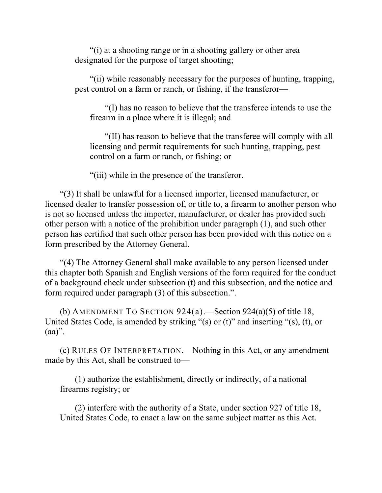"(i) at a shooting range or in a shooting gallery or other area designated for the purpose of target shooting;

"(ii) while reasonably necessary for the purposes of hunting, trapping, pest control on a farm or ranch, or fishing, if the transferor—

"(I) has no reason to believe that the transferee intends to use the firearm in a place where it is illegal; and

"(II) has reason to believe that the transferee will comply with all licensing and permit requirements for such hunting, trapping, pest control on a farm or ranch, or fishing; or

"(iii) while in the presence of the transferor.

"(3) It shall be unlawful for a licensed importer, licensed manufacturer, or licensed dealer to transfer possession of, or title to, a firearm to another person who is not so licensed unless the importer, manufacturer, or dealer has provided such other person with a notice of the prohibition under paragraph (1), and such other person has certified that such other person has been provided with this notice on a form prescribed by the Attorney General.

"(4) The Attorney General shall make available to any person licensed under this chapter both Spanish and English versions of the form required for the conduct of a background check under subsection (t) and this subsection, and the notice and form required under paragraph (3) of this subsection.".

(b) AMENDMENT TO SECTION  $924(a)$ . Section  $924(a)(5)$  of title 18, United States Code, is amended by striking "(s) or (t)" and inserting "(s), (t), or  $(aa)$ ".

(c) RULES OF INTERPRETATION.—Nothing in this Act, or any amendment made by this Act, shall be construed to—

(1) authorize the establishment, directly or indirectly, of a national firearms registry; or

(2) interfere with the authority of a State, under section 927 of title 18, United States Code, to enact a law on the same subject matter as this Act.